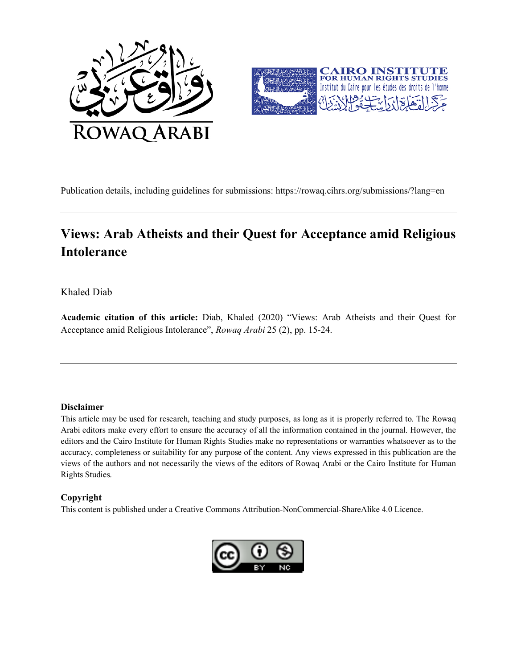



Publication details, including guidelines for submissions: https://rowaq.cihrs.org/submissions/?lang=en

# **Views: Arab Atheists and their Quest for Acceptance amid Religious Intolerance**

#### Khaled Diab

**Academic citation of this article:** Diab, Khaled (2020) "Views: Arab Atheists and their Quest for Acceptance amid Religious Intolerance", *Rowaq Arabi* 25 (2), pp. 15-24.

#### **Disclaimer**

This article may be used for research, teaching and study purposes, as long as it is properly referred to. The Rowaq Arabi editors make every effort to ensure the accuracy of all the information contained in the journal. However, the editors and the Cairo Institute for Human Rights Studies make no representations or warranties whatsoever as to the accuracy, completeness or suitability for any purpose of the content. Any views expressed in this publication are the views of the authors and not necessarily the views of the editors of Rowaq Arabi or the Cairo Institute for Human Rights Studies.

#### **Copyright**

This content is published under a Creative Commons Attribution-NonCommercial-ShareAlike 4.0 Licence.

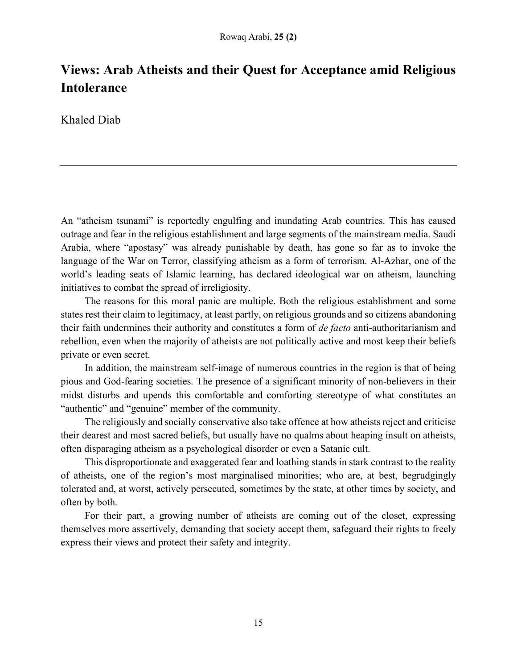# **Views: Arab Atheists and their Quest for Acceptance amid Religious Intolerance**

Khaled Diab

An "atheism tsunami" is reportedly engulfing and inundating Arab countries. This has caused outrage and fear in the religious establishment and large segments of the mainstream media. Saudi Arabia, where "apostasy" was already punishable by death, has gone so far as to invoke the language of the War on Terror, classifying atheism as a form of terrorism. Al-Azhar, one of the world's leading seats of Islamic learning, has declared ideological war on atheism, launching initiatives to combat the spread of irreligiosity.

The reasons for this moral panic are multiple. Both the religious establishment and some states rest their claim to legitimacy, at least partly, on religious grounds and so citizens abandoning their faith undermines their authority and constitutes a form of *de facto* anti-authoritarianism and rebellion, even when the majority of atheists are not politically active and most keep their beliefs private or even secret.

In addition, the mainstream self-image of numerous countries in the region is that of being pious and God-fearing societies. The presence of a significant minority of non-believers in their midst disturbs and upends this comfortable and comforting stereotype of what constitutes an "authentic" and "genuine" member of the community.

The religiously and socially conservative also take offence at how atheists reject and criticise their dearest and most sacred beliefs, but usually have no qualms about heaping insult on atheists, often disparaging atheism as a psychological disorder or even a Satanic cult.

This disproportionate and exaggerated fear and loathing stands in stark contrast to the reality of atheists, one of the region's most marginalised minorities; who are, at best, begrudgingly tolerated and, at worst, actively persecuted, sometimes by the state, at other times by society, and often by both.

For their part, a growing number of atheists are coming out of the closet, expressing themselves more assertively, demanding that society accept them, safeguard their rights to freely express their views and protect their safety and integrity.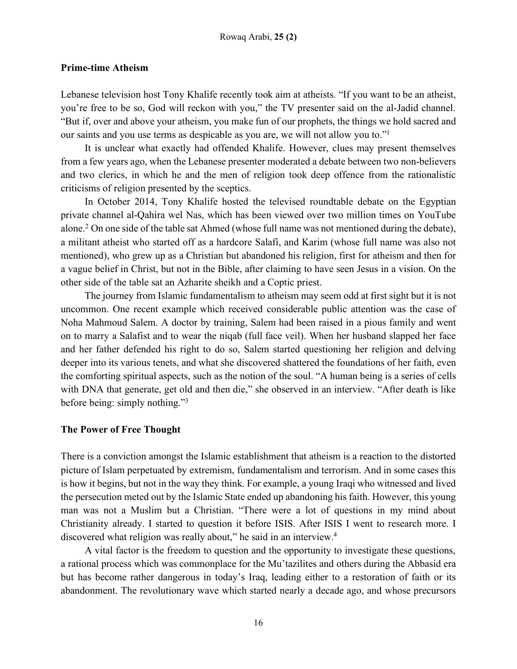## **Prime-time Atheism**

Lebanese television host Tony Khalife recently took aim at atheists. "If you want to be an atheist, you're free to be so, God will reckon with you," the TV presenter said on the al-Jadid channel. "But if, over and above your atheism, you make fun of our prophets, the things we hold sacred and our saints and you use terms as despicable as you are, we will not allow you to."1

It is unclear what exactly had offended Khalife. However, clues may present themselves from a few years ago, when the Lebanese presenter moderated a debate between two non-believers and two clerics, in which he and the men of religion took deep offence from the rationalistic criticisms of religion presented by the sceptics.

In October 2014, Tony Khalife hosted the televised roundtable debate on the Egyptian private channel al-Qahira wel Nas, which has been viewed over two million times on YouTube alone.2 On one side of the table sat Ahmed (whose full name was not mentioned during the debate), a militant atheist who started off as a hardcore Salafi, and Karim (whose full name was also not mentioned), who grew up as a Christian but abandoned his religion, first for atheism and then for a vague belief in Christ, but not in the Bible, after claiming to have seen Jesus in a vision. On the other side of the table sat an Azharite sheikh and a Coptic priest.

The journey from Islamic fundamentalism to atheism may seem odd at first sight but it is not uncommon. One recent example which received considerable public attention was the case of Noha Mahmoud Salem. A doctor by training, Salem had been raised in a pious family and went on to marry a Salafist and to wear the niqab (full face veil). When her husband slapped her face and her father defended his right to do so, Salem started questioning her religion and delving deeper into its various tenets, and what she discovered shattered the foundations of her faith, even the comforting spiritual aspects, such as the notion of the soul. "A human being is a series of cells with DNA that generate, get old and then die," she observed in an interview. "After death is like before being: simply nothing."3

## **The Power of Free Thought**

There is a conviction amongst the Islamic establishment that atheism is a reaction to the distorted picture of Islam perpetuated by extremism, fundamentalism and terrorism. And in some cases this is how it begins, but not in the way they think. For example, a young Iraqi who witnessed and lived the persecution meted out by the Islamic State ended up abandoning his faith. However, this young man was not a Muslim but a Christian. "There were a lot of questions in my mind about Christianity already. I started to question it before ISIS. After ISIS I went to research more. I discovered what religion was really about," he said in an interview.<sup>4</sup>

A vital factor is the freedom to question and the opportunity to investigate these questions, a rational process which was commonplace for the Mu'tazilites and others during the Abbasid era but has become rather dangerous in today's Iraq, leading either to a restoration of faith or its abandonment. The revolutionary wave which started nearly a decade ago, and whose precursors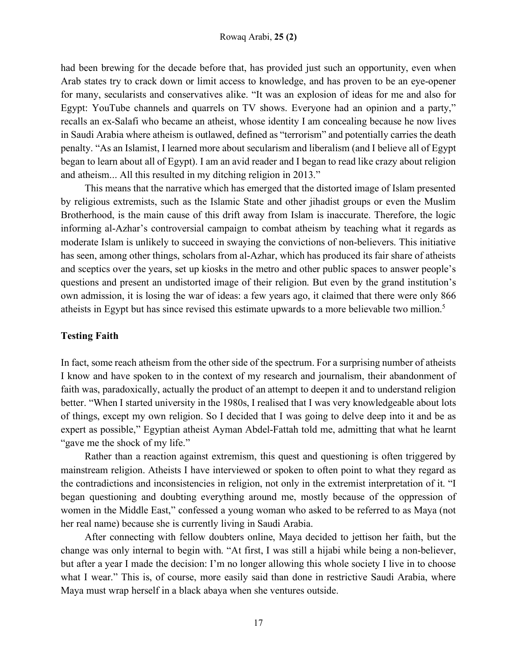had been brewing for the decade before that, has provided just such an opportunity, even when Arab states try to crack down or limit access to knowledge, and has proven to be an eye-opener for many, secularists and conservatives alike. "It was an explosion of ideas for me and also for Egypt: YouTube channels and quarrels on TV shows. Everyone had an opinion and a party," recalls an ex-Salafi who became an atheist, whose identity I am concealing because he now lives in Saudi Arabia where atheism is outlawed, defined as "terrorism" and potentially carries the death penalty. "As an Islamist, I learned more about secularism and liberalism (and I believe all of Egypt began to learn about all of Egypt). I am an avid reader and I began to read like crazy about religion and atheism... All this resulted in my ditching religion in 2013."

This means that the narrative which has emerged that the distorted image of Islam presented by religious extremists, such as the Islamic State and other jihadist groups or even the Muslim Brotherhood, is the main cause of this drift away from Islam is inaccurate. Therefore, the logic informing al-Azhar's controversial campaign to combat atheism by teaching what it regards as moderate Islam is unlikely to succeed in swaying the convictions of non-believers. This initiative has seen, among other things, scholars from al-Azhar, which has produced its fair share of atheists and sceptics over the years, set up kiosks in the metro and other public spaces to answer people's questions and present an undistorted image of their religion. But even by the grand institution's own admission, it is losing the war of ideas: a few years ago, it claimed that there were only 866 atheists in Egypt but has since revised this estimate upwards to a more believable two million.5

# **Testing Faith**

In fact, some reach atheism from the other side of the spectrum. For a surprising number of atheists I know and have spoken to in the context of my research and journalism, their abandonment of faith was, paradoxically, actually the product of an attempt to deepen it and to understand religion better. "When I started university in the 1980s, I realised that I was very knowledgeable about lots of things, except my own religion. So I decided that I was going to delve deep into it and be as expert as possible," Egyptian atheist Ayman Abdel-Fattah told me, admitting that what he learnt "gave me the shock of my life."

Rather than a reaction against extremism, this quest and questioning is often triggered by mainstream religion. Atheists I have interviewed or spoken to often point to what they regard as the contradictions and inconsistencies in religion, not only in the extremist interpretation of it. "I began questioning and doubting everything around me, mostly because of the oppression of women in the Middle East," confessed a young woman who asked to be referred to as Maya (not her real name) because she is currently living in Saudi Arabia.

After connecting with fellow doubters online, Maya decided to jettison her faith, but the change was only internal to begin with. "At first, I was still a hijabi while being a non-believer, but after a year I made the decision: I'm no longer allowing this whole society I live in to choose what I wear." This is, of course, more easily said than done in restrictive Saudi Arabia, where Maya must wrap herself in a black abaya when she ventures outside.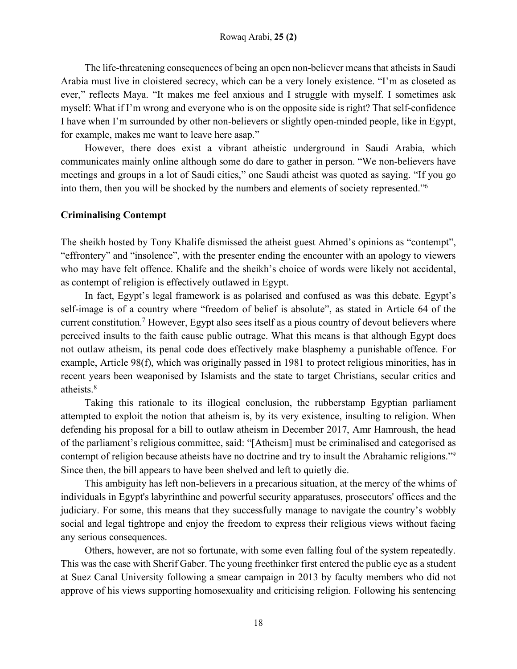The life-threatening consequences of being an open non-believer means that atheists in Saudi Arabia must live in cloistered secrecy, which can be a very lonely existence. "I'm as closeted as ever," reflects Maya. "It makes me feel anxious and I struggle with myself. I sometimes ask myself: What if I'm wrong and everyone who is on the opposite side is right? That self-confidence I have when I'm surrounded by other non-believers or slightly open-minded people, like in Egypt, for example, makes me want to leave here asap."

However, there does exist a vibrant atheistic underground in Saudi Arabia, which communicates mainly online although some do dare to gather in person. "We non-believers have meetings and groups in a lot of Saudi cities," one Saudi atheist was quoted as saying. "If you go into them, then you will be shocked by the numbers and elements of society represented."6

# **Criminalising Contempt**

The sheikh hosted by Tony Khalife dismissed the atheist guest Ahmed's opinions as "contempt", "effrontery" and "insolence", with the presenter ending the encounter with an apology to viewers who may have felt offence. Khalife and the sheikh's choice of words were likely not accidental, as contempt of religion is effectively outlawed in Egypt.

In fact, Egypt's legal framework is as polarised and confused as was this debate. Egypt's self-image is of a country where "freedom of belief is absolute", as stated in Article 64 of the current constitution.<sup>7</sup> However, Egypt also sees itself as a pious country of devout believers where perceived insults to the faith cause public outrage. What this means is that although Egypt does not outlaw atheism, its penal code does effectively make blasphemy a punishable offence. For example, Article 98(f), which was originally passed in 1981 to protect religious minorities, has in recent years been weaponised by Islamists and the state to target Christians, secular critics and atheists.8

Taking this rationale to its illogical conclusion, the rubberstamp Egyptian parliament attempted to exploit the notion that atheism is, by its very existence, insulting to religion. When defending his proposal for a bill to outlaw atheism in December 2017, Amr Hamroush, the head of the parliament's religious committee, said: "[Atheism] must be criminalised and categorised as contempt of religion because atheists have no doctrine and try to insult the Abrahamic religions."9 Since then, the bill appears to have been shelved and left to quietly die.

This ambiguity has left non-believers in a precarious situation, at the mercy of the whims of individuals in Egypt's labyrinthine and powerful security apparatuses, prosecutors' offices and the judiciary. For some, this means that they successfully manage to navigate the country's wobbly social and legal tightrope and enjoy the freedom to express their religious views without facing any serious consequences.

Others, however, are not so fortunate, with some even falling foul of the system repeatedly. This was the case with Sherif Gaber. The young freethinker first entered the public eye as a student at Suez Canal University following a smear campaign in 2013 by faculty members who did not approve of his views supporting homosexuality and criticising religion. Following his sentencing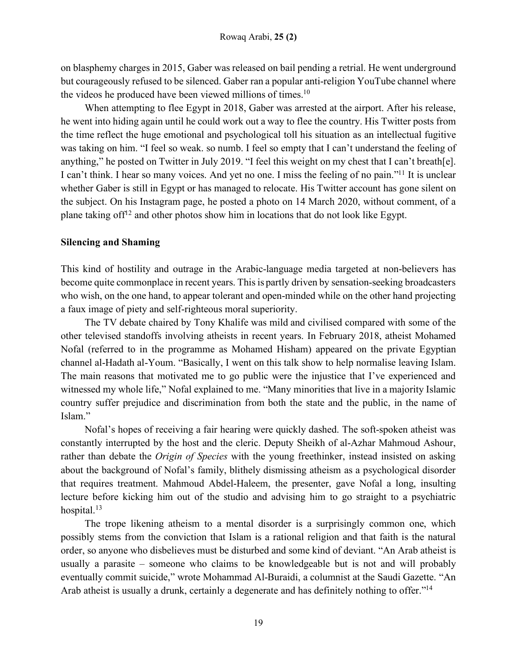on blasphemy charges in 2015, Gaber was released on bail pending a retrial. He went underground but courageously refused to be silenced. Gaber ran a popular anti-religion YouTube channel where the videos he produced have been viewed millions of times.<sup>10</sup>

When attempting to flee Egypt in 2018, Gaber was arrested at the airport. After his release, he went into hiding again until he could work out a way to flee the country. His Twitter posts from the time reflect the huge emotional and psychological toll his situation as an intellectual fugitive was taking on him. "I feel so weak. so numb. I feel so empty that I can't understand the feeling of anything," he posted on Twitter in July 2019. "I feel this weight on my chest that I can't breath[e]. I can't think. I hear so many voices. And yet no one. I miss the feeling of no pain."<sup>11</sup> It is unclear whether Gaber is still in Egypt or has managed to relocate. His Twitter account has gone silent on the subject. On his Instagram page, he posted a photo on 14 March 2020, without comment, of a plane taking of  $f^{12}$  and other photos show him in locations that do not look like Egypt.

## **Silencing and Shaming**

This kind of hostility and outrage in the Arabic-language media targeted at non-believers has become quite commonplace in recent years. This is partly driven by sensation-seeking broadcasters who wish, on the one hand, to appear tolerant and open-minded while on the other hand projecting a faux image of piety and self-righteous moral superiority.

The TV debate chaired by Tony Khalife was mild and civilised compared with some of the other televised standoffs involving atheists in recent years. In February 2018, atheist Mohamed Nofal (referred to in the programme as Mohamed Hisham) appeared on the private Egyptian channel al-Hadath al-Youm. "Basically, I went on this talk show to help normalise leaving Islam. The main reasons that motivated me to go public were the injustice that I've experienced and witnessed my whole life," Nofal explained to me. "Many minorities that live in a majority Islamic country suffer prejudice and discrimination from both the state and the public, in the name of Islam."

Nofal's hopes of receiving a fair hearing were quickly dashed. The soft-spoken atheist was constantly interrupted by the host and the cleric. Deputy Sheikh of al-Azhar Mahmoud Ashour, rather than debate the *Origin of Species* with the young freethinker, instead insisted on asking about the background of Nofal's family, blithely dismissing atheism as a psychological disorder that requires treatment. Mahmoud Abdel-Haleem, the presenter, gave Nofal a long, insulting lecture before kicking him out of the studio and advising him to go straight to a psychiatric hospital.<sup>13</sup>

The trope likening atheism to a mental disorder is a surprisingly common one, which possibly stems from the conviction that Islam is a rational religion and that faith is the natural order, so anyone who disbelieves must be disturbed and some kind of deviant. "An Arab atheist is usually a parasite – someone who claims to be knowledgeable but is not and will probably eventually commit suicide," wrote Mohammad Al-Buraidi, a columnist at the Saudi Gazette. "An Arab atheist is usually a drunk, certainly a degenerate and has definitely nothing to offer."<sup>14</sup>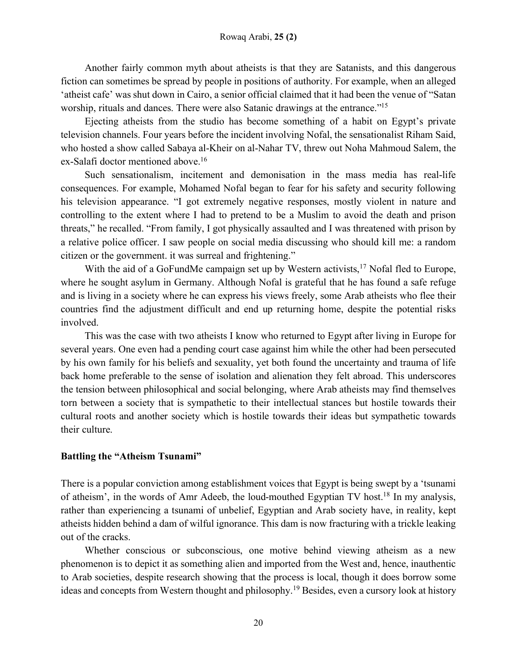Another fairly common myth about atheists is that they are Satanists, and this dangerous fiction can sometimes be spread by people in positions of authority. For example, when an alleged 'atheist cafe' was shut down in Cairo, a senior official claimed that it had been the venue of "Satan worship, rituals and dances. There were also Satanic drawings at the entrance."<sup>15</sup>

Ejecting atheists from the studio has become something of a habit on Egypt's private television channels. Four years before the incident involving Nofal, the sensationalist Riham Said, who hosted a show called Sabaya al-Kheir on al-Nahar TV, threw out Noha Mahmoud Salem, the ex-Salafi doctor mentioned above.<sup>16</sup>

Such sensationalism, incitement and demonisation in the mass media has real-life consequences. For example, Mohamed Nofal began to fear for his safety and security following his television appearance. "I got extremely negative responses, mostly violent in nature and controlling to the extent where I had to pretend to be a Muslim to avoid the death and prison threats," he recalled. "From family, I got physically assaulted and I was threatened with prison by a relative police officer. I saw people on social media discussing who should kill me: a random citizen or the government. it was surreal and frightening."

With the aid of a GoFundMe campaign set up by Western activists,<sup>17</sup> Nofal fled to Europe, where he sought asylum in Germany. Although Nofal is grateful that he has found a safe refuge and is living in a society where he can express his views freely, some Arab atheists who flee their countries find the adjustment difficult and end up returning home, despite the potential risks involved.

This was the case with two atheists I know who returned to Egypt after living in Europe for several years. One even had a pending court case against him while the other had been persecuted by his own family for his beliefs and sexuality, yet both found the uncertainty and trauma of life back home preferable to the sense of isolation and alienation they felt abroad. This underscores the tension between philosophical and social belonging, where Arab atheists may find themselves torn between a society that is sympathetic to their intellectual stances but hostile towards their cultural roots and another society which is hostile towards their ideas but sympathetic towards their culture.

## **Battling the "Atheism Tsunami"**

There is a popular conviction among establishment voices that Egypt is being swept by a 'tsunami of atheism', in the words of Amr Adeeb, the loud-mouthed Egyptian TV host.18 In my analysis, rather than experiencing a tsunami of unbelief, Egyptian and Arab society have, in reality, kept atheists hidden behind a dam of wilful ignorance. This dam is now fracturing with a trickle leaking out of the cracks.

Whether conscious or subconscious, one motive behind viewing atheism as a new phenomenon is to depict it as something alien and imported from the West and, hence, inauthentic to Arab societies, despite research showing that the process is local, though it does borrow some ideas and concepts from Western thought and philosophy.19 Besides, even a cursory look at history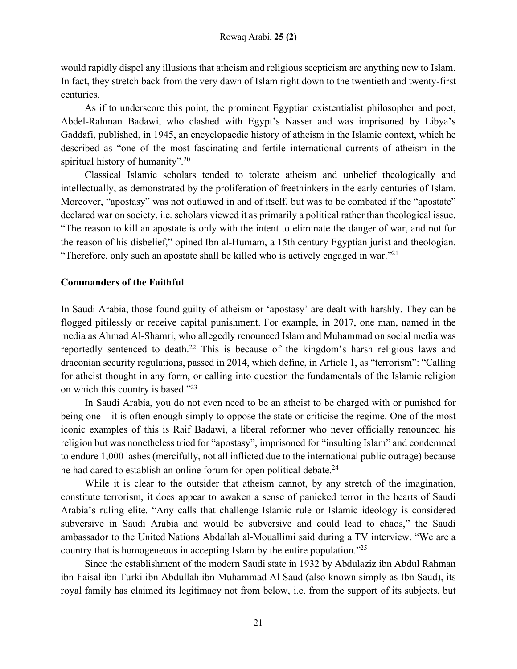would rapidly dispel any illusions that atheism and religious scepticism are anything new to Islam. In fact, they stretch back from the very dawn of Islam right down to the twentieth and twenty-first centuries.

As if to underscore this point, the prominent Egyptian existentialist philosopher and poet, Abdel-Rahman Badawi, who clashed with Egypt's Nasser and was imprisoned by Libya's Gaddafi, published, in 1945, an encyclopaedic history of atheism in the Islamic context, which he described as "one of the most fascinating and fertile international currents of atheism in the spiritual history of humanity".<sup>20</sup>

Classical Islamic scholars tended to tolerate atheism and unbelief theologically and intellectually, as demonstrated by the proliferation of freethinkers in the early centuries of Islam. Moreover, "apostasy" was not outlawed in and of itself, but was to be combated if the "apostate" declared war on society, i.e. scholars viewed it as primarily a political rather than theological issue. "The reason to kill an apostate is only with the intent to eliminate the danger of war, and not for the reason of his disbelief," opined Ibn al-Humam, a 15th century Egyptian jurist and theologian. "Therefore, only such an apostate shall be killed who is actively engaged in war."<sup>21</sup>

# **Commanders of the Faithful**

In Saudi Arabia, those found guilty of atheism or 'apostasy' are dealt with harshly. They can be flogged pitilessly or receive capital punishment. For example, in 2017, one man, named in the media as Ahmad Al-Shamri, who allegedly renounced Islam and Muhammad on social media was reportedly sentenced to death.<sup>22</sup> This is because of the kingdom's harsh religious laws and draconian security regulations, passed in 2014, which define, in Article 1, as "terrorism": "Calling for atheist thought in any form, or calling into question the fundamentals of the Islamic religion on which this country is based."23

In Saudi Arabia, you do not even need to be an atheist to be charged with or punished for being one – it is often enough simply to oppose the state or criticise the regime. One of the most iconic examples of this is Raif Badawi, a liberal reformer who never officially renounced his religion but was nonetheless tried for "apostasy", imprisoned for "insulting Islam" and condemned to endure 1,000 lashes (mercifully, not all inflicted due to the international public outrage) because he had dared to establish an online forum for open political debate.<sup>24</sup>

While it is clear to the outsider that atheism cannot, by any stretch of the imagination, constitute terrorism, it does appear to awaken a sense of panicked terror in the hearts of Saudi Arabia's ruling elite. "Any calls that challenge Islamic rule or Islamic ideology is considered subversive in Saudi Arabia and would be subversive and could lead to chaos," the Saudi ambassador to the United Nations Abdallah al-Mouallimi said during a TV interview. "We are a country that is homogeneous in accepting Islam by the entire population."25

Since the establishment of the modern Saudi state in 1932 by Abdulaziz ibn Abdul Rahman ibn Faisal ibn Turki ibn Abdullah ibn Muhammad Al Saud (also known simply as Ibn Saud), its royal family has claimed its legitimacy not from below, i.e. from the support of its subjects, but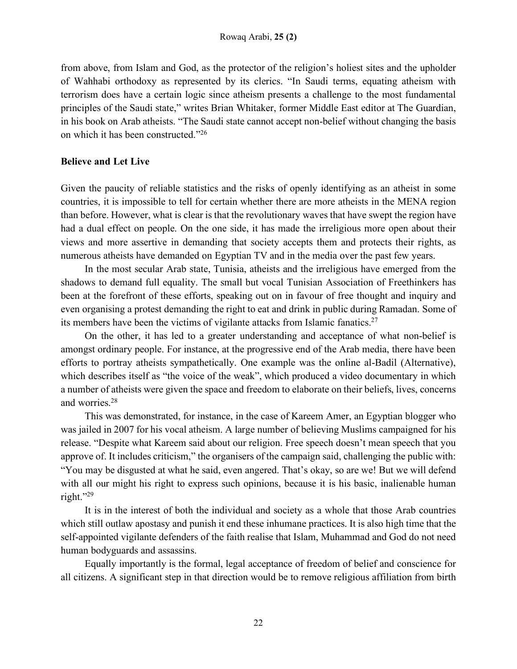from above, from Islam and God, as the protector of the religion's holiest sites and the upholder of Wahhabi orthodoxy as represented by its clerics. "In Saudi terms, equating atheism with terrorism does have a certain logic since atheism presents a challenge to the most fundamental principles of the Saudi state," writes Brian Whitaker, former Middle East editor at The Guardian, in his book on Arab atheists. "The Saudi state cannot accept non-belief without changing the basis on which it has been constructed."26

# **Believe and Let Live**

Given the paucity of reliable statistics and the risks of openly identifying as an atheist in some countries, it is impossible to tell for certain whether there are more atheists in the MENA region than before. However, what is clear is that the revolutionary waves that have swept the region have had a dual effect on people. On the one side, it has made the irreligious more open about their views and more assertive in demanding that society accepts them and protects their rights, as numerous atheists have demanded on Egyptian TV and in the media over the past few years.

In the most secular Arab state, Tunisia, atheists and the irreligious have emerged from the shadows to demand full equality. The small but vocal Tunisian Association of Freethinkers has been at the forefront of these efforts, speaking out on in favour of free thought and inquiry and even organising a protest demanding the right to eat and drink in public during Ramadan. Some of its members have been the victims of vigilante attacks from Islamic fanatics.27

On the other, it has led to a greater understanding and acceptance of what non-belief is amongst ordinary people. For instance, at the progressive end of the Arab media, there have been efforts to portray atheists sympathetically. One example was the online al-Badil (Alternative), which describes itself as "the voice of the weak", which produced a video documentary in which a number of atheists were given the space and freedom to elaborate on their beliefs, lives, concerns and worries.28

This was demonstrated, for instance, in the case of Kareem Amer, an Egyptian blogger who was jailed in 2007 for his vocal atheism. A large number of believing Muslims campaigned for his release. "Despite what Kareem said about our religion. Free speech doesn't mean speech that you approve of. It includes criticism," the organisers of the campaign said, challenging the public with: "You may be disgusted at what he said, even angered. That's okay, so are we! But we will defend with all our might his right to express such opinions, because it is his basic, inalienable human right."29

It is in the interest of both the individual and society as a whole that those Arab countries which still outlaw apostasy and punish it end these inhumane practices. It is also high time that the self-appointed vigilante defenders of the faith realise that Islam, Muhammad and God do not need human bodyguards and assassins.

Equally importantly is the formal, legal acceptance of freedom of belief and conscience for all citizens. A significant step in that direction would be to remove religious affiliation from birth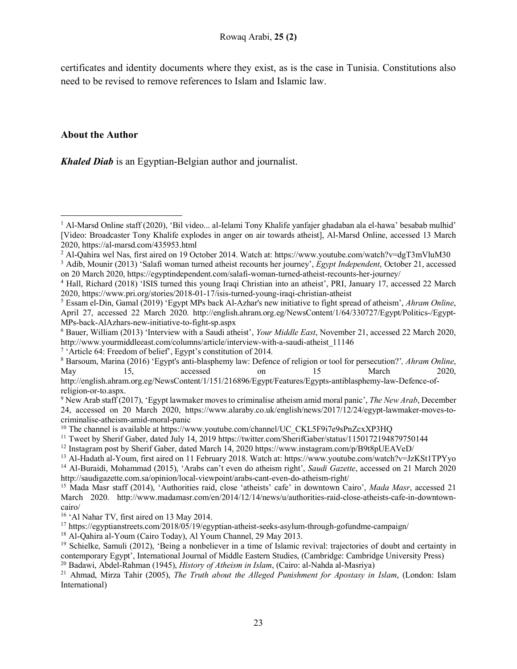certificates and identity documents where they exist, as is the case in Tunisia. Constitutions also need to be revised to remove references to Islam and Islamic law.

## **About the Author**

l

*Khaled Diab* is an Egyptian-Belgian author and journalist.

May 15, accessed on 15 March 2020,

- <sup>12</sup> Instagram post by Sherif Gaber, dated March 14, 2020 https://www.instagram.com/p/B9t8pUEAVeD/
- <sup>13</sup> Al-Hadath al-Youm, first aired on 11 February 2018. Watch at: https://www.youtube.com/watch?v=JzKSt1TPYyo

<sup>14</sup> Al-Buraidi, Mohammad (2015), 'Arabs can't even do atheism right', *Saudi Gazette*, accessed on 21 March 2020 http://saudigazette.com.sa/opinion/local-viewpoint/arabs-cant-even-do-atheism-right/ 15 Mada Masr staff (2014), 'Authorities raid, close 'atheists' cafe' in downtown Cairo', *Mada Masr*, accessed 21

<sup>16</sup> 'Al Nahar TV, first aired on 13 May 2014.

<sup>17</sup> https://egyptianstreets.com/2018/05/19/egyptian-atheist-seeks-asylum-through-gofundme-campaign/

<sup>18</sup> Al-Qahira al-Youm (Cairo Today), Al Youm Channel, 29 May 2013.

<sup>1</sup> Al-Marsd Online staff (2020), 'Bil video... al-Ielami Tony Khalife yanfajer ghadaban ala el-hawa' besabab mulhid' [Video: Broadcaster Tony Khalife explodes in anger on air towards atheist], Al-Marsd Online, accessed 13 March 2020, https://al-marsd.com/435953.html

<sup>&</sup>lt;sup>2</sup> Al-Qahira wel Nas, first aired on 19 October 2014. Watch at: https://www.youtube.com/watch?v=dgT3mVluM30

<sup>3</sup> Adib, Mounir (2013) 'Salafi woman turned atheist recounts her journey', *Egypt Independent*, October 21, accessed

on 20 March 2020, https://egyptindependent.com/salafi-woman-turned-atheist-recounts-her-journey/<br><sup>4</sup> Hall, Richard (2018) 'ISIS turned this young Iraqi Christian into an atheist', PRI, January 17, accessed 22 March<br>2020, h

<sup>&</sup>lt;sup>5</sup> Essam el-Din, Gamal (2019) 'Egypt MPs back Al-Azhar's new initiative to fight spread of atheism', *Ahram Online*, April 27, accessed 22 March 2020. http://english.ahram.org.eg/NewsContent/1/64/330727/Egypt/Politics-/Egypt-MPs-back-AlAzhars-new-initiative-to-fight-sp.aspx

<sup>6</sup> Bauer, William (2013) 'Interview with a Saudi atheist', *Your Middle East*, November 21, accessed 22 March 2020, http://www.yourmiddleeast.com/columns/article/interview-with-a-saudi-atheist\_11146<br>
<sup>7</sup> 'Article 64: Freedom of belief', Egypt's constitution of 2014.<br>
<sup>8</sup> Barsoum, Marina (2016) 'Egypt's anti-blasphemy law: Defence of rel

http://english.ahram.org.eg/NewsContent/1/151/216896/Egypt/Features/Egypts-antiblasphemy-law-Defence-ofreligion-or-to.aspx.<br><sup>9</sup> New Arab staff (2017), 'Egypt lawmaker moves to criminalise atheism amid moral panic', *The New Arab*, December

<sup>24,</sup> accessed on 20 March 2020, https://www.alaraby.co.uk/english/news/2017/12/24/egypt-lawmaker-moves-tocriminalise-atheism-amid-moral-panic

<sup>&</sup>lt;sup>10</sup> The channel is available at https://www.youtube.com/channel/UC\_CKL5F9i7e9sPnZcxXP3HQ

<sup>11</sup> Tweet by Sherif Gaber, dated July 14, 2019 https://twitter.com/SherifGaber/status/1150172194879750144

March 2020. http://www.madamasr.com/en/2014/12/14/news/u/authorities-raid-close-atheists-cafe-in-downtowncairo/

<sup>19</sup> Schielke, Samuli (2012), 'Being a nonbeliever in a time of Islamic revival: trajectories of doubt and certainty in contemporary Egypt', International Journal of Middle Eastern Studies, (Cambridge: Cambridge University Press)

<sup>20</sup> Badawi, Abdel-Rahman (1945), *History of Atheism in Islam*, (Cairo: al-Nahda al-Masriya)

<sup>21</sup> Ahmad, Mirza Tahir (2005), *The Truth about the Alleged Punishment for Apostasy in Islam*, (London: Islam International)